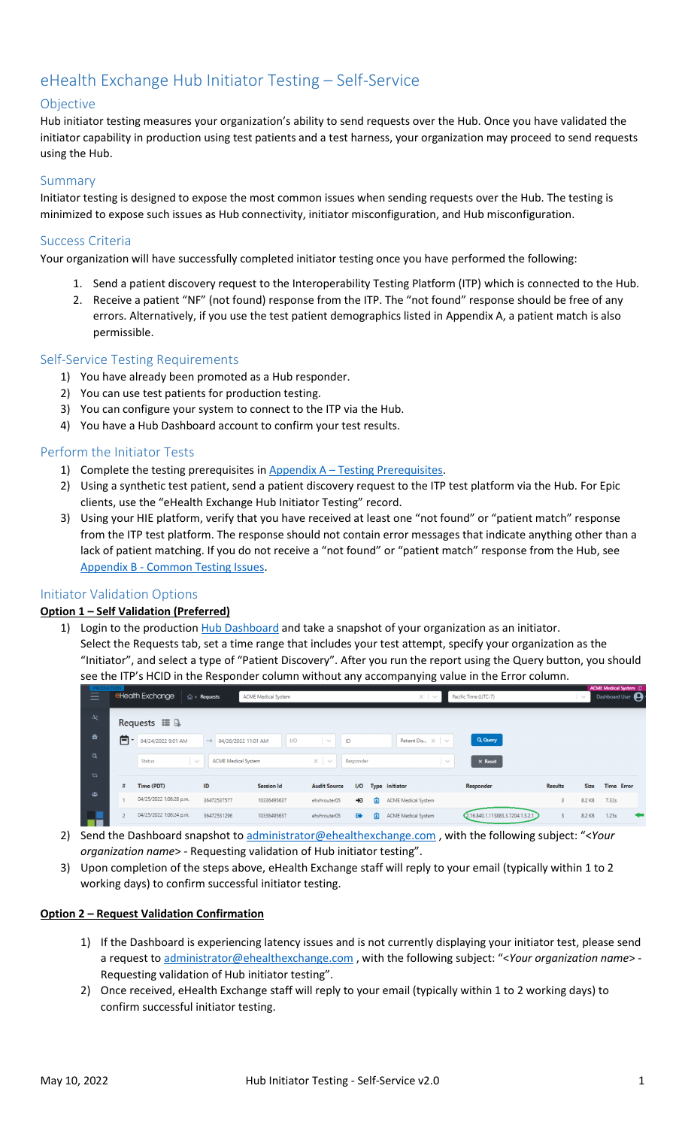## eHealth Exchange Hub Initiator Testing – Self-Service

### Objective

Hub initiator testing measures your organization's ability to send requests over the Hub. Once you have validated the initiator capability in production using test patients and a test harness, your organization may proceed to send requests using the Hub.

#### Summary

Initiator testing is designed to expose the most common issues when sending requests over the Hub. The testing is minimized to expose such issues as Hub connectivity, initiator misconfiguration, and Hub misconfiguration.

#### Success Criteria

Your organization will have successfully completed initiator testing once you have performed the following:

- 1. Send a patient discovery request to the Interoperability Testing Platform (ITP) which is connected to the Hub.
- 2. Receive a patient "NF" (not found) response from the ITP. The "not found" response should be free of any errors. Alternatively, if you use the test patient demographics listed in Appendix A, a patient match is also permissible.

#### Self-Service Testing Requirements

- 1) You have already been promoted as a Hub responder.
- 2) You can use test patients for production testing.
- 3) You can configure your system to connect to the ITP via the Hub.
- 4) You have a Hub Dashboard account to confirm your test results.

#### Perform the Initiator Tests

- 1) Complete the testing prerequisites in Appendix A Testing Prerequisites.
- 2) Using a synthetic test patient, send a patient discovery request to the ITP test platform via the Hub. For Epic clients, use the "eHealth Exchange Hub Initiator Testing" record.
- 3) Using your HIE platform, verify that you have received at least one "not found" or "patient match" response from the ITP test platform. The response should not contain error messages that indicate anything other than a lack of patient matching. If you do not receive a "not found" or "patient match" response from the Hub, see Appendix B - Common Testing Issues.

#### Initiator Validation Options

#### **Option 1 – Self Validation (Preferred)**

- 1) Login to the production Hub Dashboard and take a snapshot of your organization as an initiator.
	- Select the Requests tab, set a time range that includes your test attempt, specify your organization as the "Initiator", and select a type of "Patient Discovery". After you run the report using the Query button, you should see the ITP's HCID in the Responder column without any accompanying value in the Error column.

|           |   | eHealth Exchange        | $\mathbb{\hat{m}}$ > Requests     | <b>ACME Medical System</b> |                     |                    | $\times$                      | Pacific Time (UTC-7)             |                | $\checkmark$ | <b>ACME Medical System (D)</b><br>Dashboard User |
|-----------|---|-------------------------|-----------------------------------|----------------------------|---------------------|--------------------|-------------------------------|----------------------------------|----------------|--------------|--------------------------------------------------|
| $-\infty$ |   | Requests $\blacksquare$ |                                   |                            |                     |                    |                               |                                  |                |              |                                                  |
| 合         | 白 | 04/24/2022 9:01 AM      | $\rightarrow$ 04/26/2022 11:01 AM | I/O                        | ID<br>$\searrow$    |                    | Patient Dis $\times$ $\times$ | Q Query                          |                |              |                                                  |
| $\alpha$  |   | <b>Status</b><br>$\sim$ | <b>ACME Medical System</b>        |                            | $\times$<br>$\sim$  | Responder          | $\sim$                        | $\times$ Reset                   |                |              |                                                  |
| セマ        |   | Time (PDT)              | ID                                | <b>Session Id</b>          | <b>Audit Source</b> | I/O                | <b>Type Initiator</b>         | Responder                        | <b>Results</b> | <b>Size</b>  | <b>Time Error</b>                                |
| 槛         |   | 04/25/2022 1:06:28 p.m. | 36472537577                       | 10336495637                | ehxhrouter05        | 圁<br>$\rightarrow$ | ACME Medical System           |                                  | 3              | 8.2 KB       | 7.32s                                            |
|           |   |                         |                                   |                            |                     |                    |                               |                                  |                |              |                                                  |
| - - -     |   | 04/25/2022 1:06:24 p.m. | 36472531296                       | 10336495637                | ehxhrouter05        | 面<br>$\bullet$     | ACME Medical System           | 2.16.840.1.113883.3.7204.1.3.2.1 | 3              | 8.2 KB       | 1.25s<br>╺                                       |

- 2) Send the Dashboard snapshot to administrator@ehealthexchange.com , with the following subject: "<*Your organization name*> - Requesting validation of Hub initiator testing".
- 3) Upon completion of the steps above, eHealth Exchange staff will reply to your email (typically within 1 to 2 working days) to confirm successful initiator testing.

#### **Option 2 – Request Validation Confirmation**

- 1) If the Dashboard is experiencing latency issues and is not currently displaying your initiator test, please send a request to administrator@ehealthexchange.com , with the following subject: "<*Your organization name*> - Requesting validation of Hub initiator testing".
- 2) Once received, eHealth Exchange staff will reply to your email (typically within 1 to 2 working days) to confirm successful initiator testing.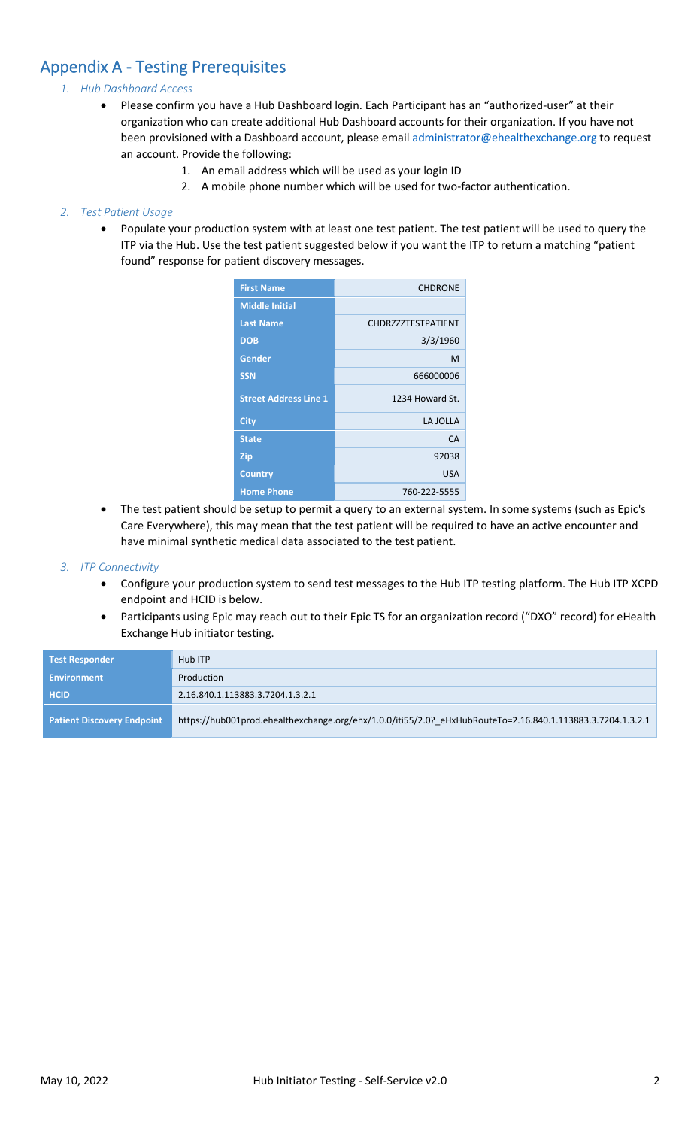## Appendix A - Testing Prerequisites

#### *1. Hub Dashboard Access*

- Please confirm you have a Hub Dashboard login. Each Participant has an "authorized-user" at their organization who can create additional Hub Dashboard accounts for their organization. If you have not been provisioned with a Dashboard account, please email [administrator@ehealthexchange.org](mailto:administrator@ehealthexchange.org) to request an account. Provide the following:
	- 1. An email address which will be used as your login ID
	- 2. A mobile phone number which will be used for two-factor authentication.

#### *2. Test Patient Usage*

• Populate your production system with at least one test patient. The test patient will be used to query the ITP via the Hub. Use the test patient suggested below if you want the ITP to return a matching "patient found" response for patient discovery messages.

| <b>First Name</b>            | <b>CHDRONE</b>            |
|------------------------------|---------------------------|
| <b>Middle Initial</b>        |                           |
| <b>Last Name</b>             | <b>CHDRZZZTESTPATIENT</b> |
| <b>DOB</b>                   | 3/3/1960                  |
| Gender                       | м                         |
| <b>SSN</b>                   | 666000006                 |
| <b>Street Address Line 1</b> | 1234 Howard St.           |
| <b>City</b>                  | LA JOLLA                  |
| <b>State</b>                 | CA                        |
|                              |                           |
| <b>Zip</b>                   | 92038                     |
| <b>Country</b>               | <b>USA</b>                |

• The test patient should be setup to permit a query to an external system. In some systems (such as Epic's Care Everywhere), this may mean that the test patient will be required to have an active encounter and have minimal synthetic medical data associated to the test patient.

#### *3. ITP Connectivity*

- Configure your production system to send test messages to the Hub ITP testing platform. The Hub ITP XCPD endpoint and HCID is below.
- Participants using Epic may reach out to their Epic TS for an organization record ("DXO" record) for eHealth Exchange Hub initiator testing.

| <b>Test Responder</b>             | Hub ITP                                                                                                    |
|-----------------------------------|------------------------------------------------------------------------------------------------------------|
| <b>Environment</b>                | Production                                                                                                 |
| <b>HCID</b>                       | 2.16.840.1.113883.3.7204.1.3.2.1                                                                           |
| <b>Patient Discovery Endpoint</b> | https://hub001prod.ehealthexchange.org/ehx/1.0.0/iti55/2.0? eHxHubRouteTo=2.16.840.1.113883.3.7204.1.3.2.1 |